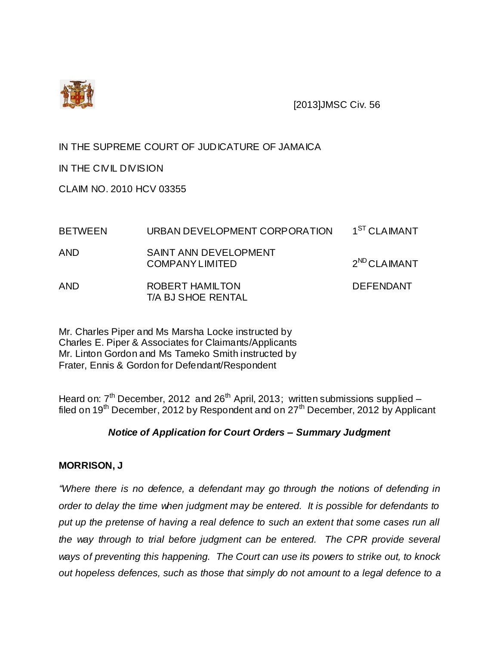

[2013]JMSC Civ. 56

# IN THE SUPREME COURT OF JUDICATURE OF JAMAICA

IN THE CIVIL DIVISION

CLAIM NO. 2010 HCV 03355

| <b>BETWEEN</b> | URBAN DEVELOPMENT CORPORATION                         | 1 <sup>ST</sup> CLAIMANT |
|----------------|-------------------------------------------------------|--------------------------|
| AND            | <b>SAINT ANN DEVELOPMENT</b><br><b>COMPANYLIMITED</b> | $2^{ND}$ CLAIMANT        |
| <b>AND</b>     | ROBERT HAMILTON<br>T/A BJ SHOE RENTAL                 | <b>DEFENDANT</b>         |

Mr. Charles Piper and Ms Marsha Locke instructed by Charles E. Piper & Associates for Claimants/Applicants Mr. Linton Gordon and Ms Tameko Smith instructed by Frater, Ennis & Gordon for Defendant/Respondent

Heard on:  $7<sup>th</sup>$  December, 2012 and 26<sup>th</sup> April, 2013; written submissions supplied – filed on 19<sup>th</sup> December, 2012 by Respondent and on  $27<sup>th</sup>$  December, 2012 by Applicant

# *Notice of Application for Court Orders – Summary Judgment*

## **MORRISON, J**

*"Where there is no defence, a defendant may go through the notions of defending in order to delay the time when judgment may be entered. It is possible for defendants to put up the pretense of having a real defence to such an extent that some cases run all the way through to trial before judgment can be entered. The CPR provide several ways of preventing this happening. The Court can use its powers to strike out, to knock out hopeless defences, such as those that simply do not amount to a legal defence to a*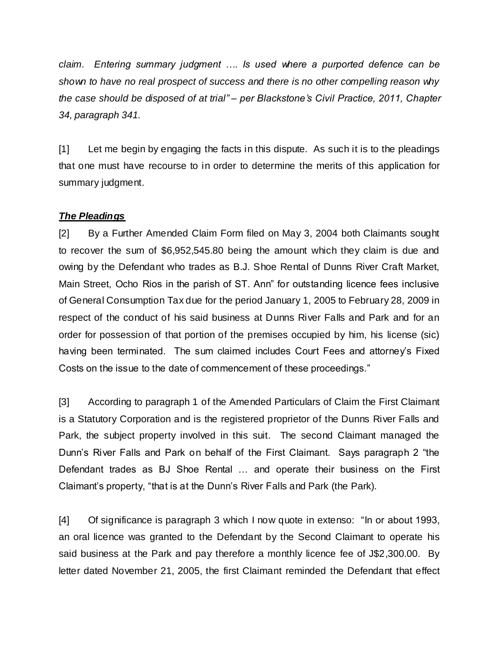*claim. Entering summary judgment …. Is used where a purported defence can be shown to have no real prospect of success and there is no other compelling reason why the case should be disposed of at trial" – per Blackstone's Civil Practice, 2011, Chapter 34, paragraph 341.*

[1] Let me begin by engaging the facts in this dispute. As such it is to the pleadings that one must have recourse to in order to determine the merits of this application for summary judgment.

## *The Pleadings*

[2] By a Further Amended Claim Form filed on May 3, 2004 both Claimants sought to recover the sum of \$6,952,545.80 being the amount which they claim is due and owing by the Defendant who trades as B.J. Shoe Rental of Dunns River Craft Market, Main Street, Ocho Rios in the parish of ST. Ann" for outstanding licence fees inclusive of General Consumption Tax due for the period January 1, 2005 to February 28, 2009 in respect of the conduct of his said business at Dunns River Falls and Park and for an order for possession of that portion of the premises occupied by him, his license (sic) having been terminated. The sum claimed includes Court Fees and attorney's Fixed Costs on the issue to the date of commencement of these proceedings."

[3] According to paragraph 1 of the Amended Particulars of Claim the First Claimant is a Statutory Corporation and is the registered proprietor of the Dunns River Falls and Park, the subject property involved in this suit. The second Claimant managed the Dunn's River Falls and Park on behalf of the First Claimant. Says paragraph 2 "the Defendant trades as BJ Shoe Rental … and operate their business on the First Claimant's property, "that is at the Dunn's River Falls and Park (the Park).

[4] Of significance is paragraph 3 which I now quote in extenso: "In or about 1993, an oral licence was granted to the Defendant by the Second Claimant to operate his said business at the Park and pay therefore a monthly licence fee of J\$2,300.00. By letter dated November 21, 2005, the first Claimant reminded the Defendant that effect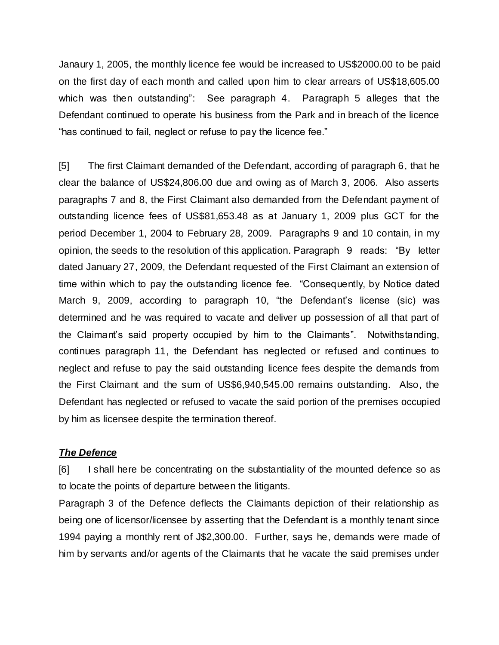Janaury 1, 2005, the monthly licence fee would be increased to US\$2000.00 to be paid on the first day of each month and called upon him to clear arrears of US\$18,605.00 which was then outstanding": See paragraph 4. Paragraph 5 alleges that the Defendant continued to operate his business from the Park and in breach of the licence "has continued to fail, neglect or refuse to pay the licence fee."

[5] The first Claimant demanded of the Defendant, according of paragraph 6, that he clear the balance of US\$24,806.00 due and owing as of March 3, 2006. Also asserts paragraphs 7 and 8, the First Claimant also demanded from the Defendant payment of outstanding licence fees of US\$81,653.48 as at January 1, 2009 plus GCT for the period December 1, 2004 to February 28, 2009. Paragraphs 9 and 10 contain, in my opinion, the seeds to the resolution of this application. Paragraph 9 reads: "By letter dated January 27, 2009, the Defendant requested of the First Claimant an extension of time within which to pay the outstanding licence fee. "Consequently, by Notice dated March 9, 2009, according to paragraph 10, "the Defendant's license (sic) was determined and he was required to vacate and deliver up possession of all that part of the Claimant's said property occupied by him to the Claimants". Notwithstanding, continues paragraph 11, the Defendant has neglected or refused and continues to neglect and refuse to pay the said outstanding licence fees despite the demands from the First Claimant and the sum of US\$6,940,545.00 remains outstanding. Also, the Defendant has neglected or refused to vacate the said portion of the premises occupied by him as licensee despite the termination thereof.

#### *The Defence*

[6] I shall here be concentrating on the substantiality of the mounted defence so as to locate the points of departure between the litigants.

Paragraph 3 of the Defence deflects the Claimants depiction of their relationship as being one of licensor/licensee by asserting that the Defendant is a monthly tenant since 1994 paying a monthly rent of J\$2,300.00. Further, says he, demands were made of him by servants and/or agents of the Claimants that he vacate the said premises under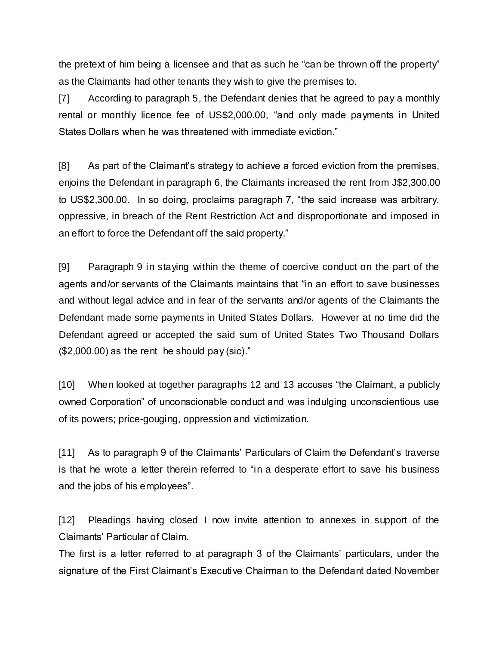the pretext of him being a licensee and that as such he "can be thrown off the property" as the Claimants had other tenants they wish to give the premises to.

[7] According to paragraph 5, the Defendant denies that he agreed to pay a monthly rental or monthly licence fee of US\$2,000.00, "and only made payments in United States Dollars when he was threatened with immediate eviction."

[8] As part of the Claimant's strategy to achieve a forced eviction from the premises, enjoins the Defendant in paragraph 6, the Claimants increased the rent from J\$2,300.00 to US\$2,300.00. In so doing, proclaims paragraph 7, "the said increase was arbitrary, oppressive, in breach of the Rent Restriction Act and disproportionate and imposed in an effort to force the Defendant off the said property."

[9] Paragraph 9 in staying within the theme of coercive conduct on the part of the agents and/or servants of the Claimants maintains that "in an effort to save businesses and without legal advice and in fear of the servants and/or agents of the Claimants the Defendant made some payments in United States Dollars. However at no time did the Defendant agreed or accepted the said sum of United States Two Thousand Dollars (\$2,000.00) as the rent he should pay (sic)."

[10] When looked at together paragraphs 12 and 13 accuses "the Claimant, a publicly owned Corporation" of unconscionable conduct and was indulging unconscientious use of its powers; price-gouging, oppression and victimization.

[11] As to paragraph 9 of the Claimants' Particulars of Claim the Defendant's traverse is that he wrote a letter therein referred to "in a desperate effort to save his business and the jobs of his employees".

[12] Pleadings having closed I now invite attention to annexes in support of the Claimants' Particular of Claim.

The first is a letter referred to at paragraph 3 of the Claimants' particulars, under the signature of the First Claimant's Executive Chairman to the Defendant dated November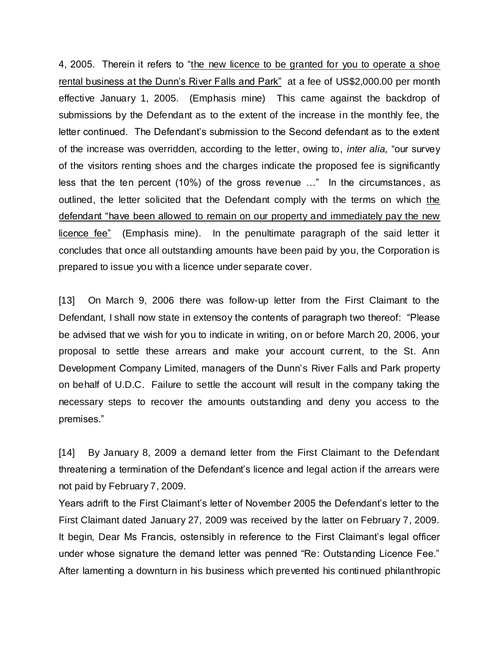4, 2005. Therein it refers to "the new licence to be granted for you to operate a shoe rental business at the Dunn's River Falls and Park" at a fee of US\$2,000.00 per month effective January 1, 2005. (Emphasis mine) This came against the backdrop of submissions by the Defendant as to the extent of the increase in the monthly fee, the letter continued. The Defendant's submission to the Second defendant as to the extent of the increase was overridden, according to the letter, owing to, *inter alia,* "our survey of the visitors renting shoes and the charges indicate the proposed fee is significantly less that the ten percent (10%) of the gross revenue …" In the circumstances , as outlined, the letter solicited that the Defendant comply with the terms on which the defendant "have been allowed to remain on our property and immediately pay the new licence fee" (Emphasis mine). In the penultimate paragraph of the said letter it concludes that once all outstanding amounts have been paid by you, the Corporation is prepared to issue you with a licence under separate cover.

[13] On March 9, 2006 there was follow-up letter from the First Claimant to the Defendant, I shall now state in extensoy the contents of paragraph two thereof: "Please be advised that we wish for you to indicate in writing, on or before March 20, 2006, your proposal to settle these arrears and make your account current, to the St. Ann Development Company Limited, managers of the Dunn's River Falls and Park property on behalf of U.D.C. Failure to settle the account will result in the company taking the necessary steps to recover the amounts outstanding and deny you access to the premises."

[14] By January 8, 2009 a demand letter from the First Claimant to the Defendant threatening a termination of the Defendant's licence and legal action if the arrears were not paid by February 7, 2009.

Years adrift to the First Claimant's letter of November 2005 the Defendant's letter to the First Claimant dated January 27, 2009 was received by the latter on February 7, 2009. It begin, Dear Ms Francis, ostensibly in reference to the First Claimant's legal officer under whose signature the demand letter was penned "Re: Outstanding Licence Fee." After lamenting a downturn in his business which prevented his continued philanthropic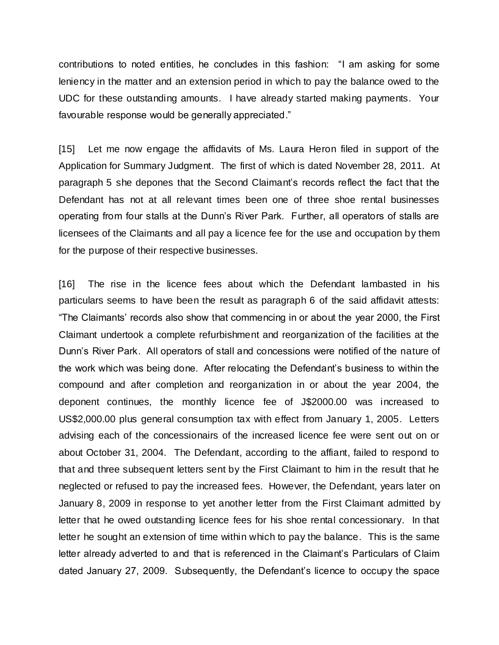contributions to noted entities, he concludes in this fashion: "I am asking for some leniency in the matter and an extension period in which to pay the balance owed to the UDC for these outstanding amounts. I have already started making payments. Your favourable response would be generally appreciated."

[15] Let me now engage the affidavits of Ms. Laura Heron filed in support of the Application for Summary Judgment. The first of which is dated November 28, 2011. At paragraph 5 she depones that the Second Claimant's records reflect the fact that the Defendant has not at all relevant times been one of three shoe rental businesses operating from four stalls at the Dunn's River Park. Further, all operators of stalls are licensees of the Claimants and all pay a licence fee for the use and occupation by them for the purpose of their respective businesses.

[16] The rise in the licence fees about which the Defendant lambasted in his particulars seems to have been the result as paragraph 6 of the said affidavit attests: "The Claimants' records also show that commencing in or about the year 2000, the First Claimant undertook a complete refurbishment and reorganization of the facilities at the Dunn's River Park. All operators of stall and concessions were notified of the nature of the work which was being done. After relocating the Defendant's business to within the compound and after completion and reorganization in or about the year 2004, the deponent continues, the monthly licence fee of J\$2000.00 was increased to US\$2,000.00 plus general consumption tax with effect from January 1, 2005. Letters advising each of the concessionairs of the increased licence fee were sent out on or about October 31, 2004. The Defendant, according to the affiant, failed to respond to that and three subsequent letters sent by the First Claimant to him in the result that he neglected or refused to pay the increased fees. However, the Defendant, years later on January 8, 2009 in response to yet another letter from the First Claimant admitted by letter that he owed outstanding licence fees for his shoe rental concessionary. In that letter he sought an extension of time within which to pay the balance. This is the same letter already adverted to and that is referenced in the Claimant's Particulars of Claim dated January 27, 2009. Subsequently, the Defendant's licence to occupy the space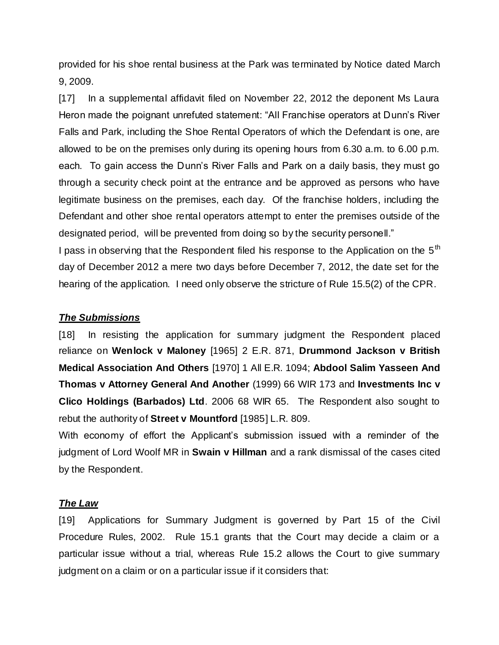provided for his shoe rental business at the Park was terminated by Notice dated March 9, 2009.

[17] In a supplemental affidavit filed on November 22, 2012 the deponent Ms Laura Heron made the poignant unrefuted statement: "All Franchise operators at Dunn's River Falls and Park, including the Shoe Rental Operators of which the Defendant is one, are allowed to be on the premises only during its opening hours from 6.30 a.m. to 6.00 p.m. each. To gain access the Dunn's River Falls and Park on a daily basis, they must go through a security check point at the entrance and be approved as persons who have legitimate business on the premises, each day. Of the franchise holders, including the Defendant and other shoe rental operators attempt to enter the premises outside of the designated period, will be prevented from doing so by the security personell."

I pass in observing that the Respondent filed his response to the Application on the 5<sup>th</sup> day of December 2012 a mere two days before December 7, 2012, the date set for the hearing of the application. I need only observe the stricture of Rule 15.5(2) of the CPR.

## *The Submissions*

[18] In resisting the application for summary judgment the Respondent placed reliance on **Wenlock v Maloney** [1965] 2 E.R. 871, **Drummond Jackson v British Medical Association And Others** [1970] 1 All E.R. 1094; **Abdool Salim Yasseen And Thomas v Attorney General And Another** (1999) 66 WIR 173 and **Investments Inc v Clico Holdings (Barbados) Ltd**. 2006 68 WIR 65. The Respondent also sought to rebut the authority of **Street v Mountford** [1985] L.R. 809.

With economy of effort the Applicant's submission issued with a reminder of the judgment of Lord Woolf MR in **Swain v Hillman** and a rank dismissal of the cases cited by the Respondent.

## *The Law*

[19] Applications for Summary Judgment is governed by Part 15 of the Civil Procedure Rules, 2002. Rule 15.1 grants that the Court may decide a claim or a particular issue without a trial, whereas Rule 15.2 allows the Court to give summary judgment on a claim or on a particular issue if it considers that: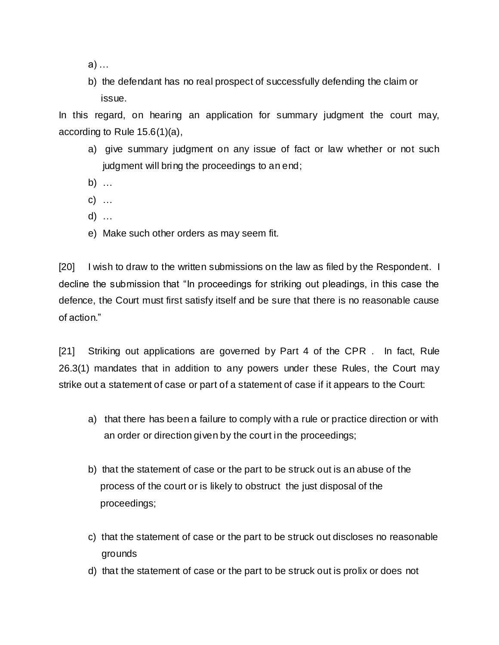- a) …
- b) the defendant has no real prospect of successfully defending the claim or issue.

In this regard, on hearing an application for summary judgment the court may, according to Rule 15.6(1)(a),

- a) give summary judgment on any issue of fact or law whether or not such judgment will bring the proceedings to an end;
- b) …
- c) …
- d) …
- e) Make such other orders as may seem fit.

[20] I wish to draw to the written submissions on the law as filed by the Respondent. I decline the submission that "In proceedings for striking out pleadings, in this case the defence, the Court must first satisfy itself and be sure that there is no reasonable cause of action."

[21] Striking out applications are governed by Part 4 of the CPR . In fact, Rule 26.3(1) mandates that in addition to any powers under these Rules, the Court may strike out a statement of case or part of a statement of case if it appears to the Court:

- a) that there has been a failure to comply with a rule or practice direction or with an order or direction given by the court in the proceedings;
- b) that the statement of case or the part to be struck out is an abuse of the process of the court or is likely to obstruct the just disposal of the proceedings;
- c) that the statement of case or the part to be struck out discloses no reasonable grounds
- d) that the statement of case or the part to be struck out is prolix or does not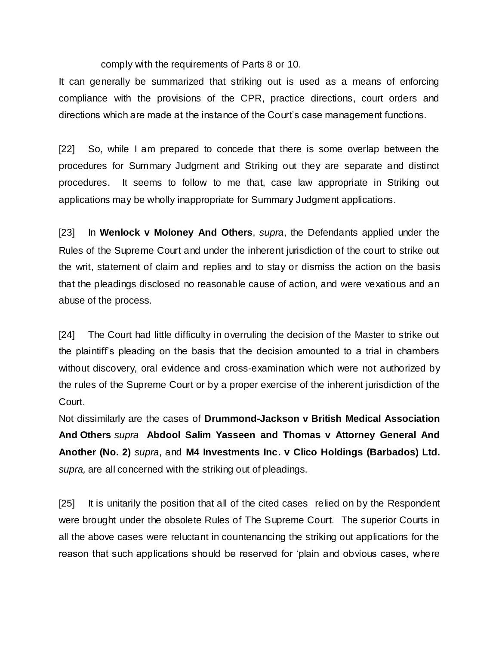comply with the requirements of Parts 8 or 10.

It can generally be summarized that striking out is used as a means of enforcing compliance with the provisions of the CPR, practice directions, court orders and directions which are made at the instance of the Court's case management functions.

[22] So, while I am prepared to concede that there is some overlap between the procedures for Summary Judgment and Striking out they are separate and distinct procedures. It seems to follow to me that, case law appropriate in Striking out applications may be wholly inappropriate for Summary Judgment applications.

[23] In **Wenlock v Moloney And Others**, *supra*, the Defendants applied under the Rules of the Supreme Court and under the inherent jurisdiction of the court to strike out the writ, statement of claim and replies and to stay or dismiss the action on the basis that the pleadings disclosed no reasonable cause of action, and were vexatious and an abuse of the process.

[24] The Court had little difficulty in overruling the decision of the Master to strike out the plaintiff's pleading on the basis that the decision amounted to a trial in chambers without discovery, oral evidence and cross-examination which were not authorized by the rules of the Supreme Court or by a proper exercise of the inherent jurisdiction of the Court.

Not dissimilarly are the cases of **Drummond-Jackson v British Medical Association And Others** *supra* **Abdool Salim Yasseen and Thomas v Attorney General And Another (No. 2)** *supra*, and **M4 Investments Inc. v Clico Holdings (Barbados) Ltd.**  *supra,* are all concerned with the striking out of pleadings.

[25] It is unitarily the position that all of the cited cases relied on by the Respondent were brought under the obsolete Rules of The Supreme Court. The superior Courts in all the above cases were reluctant in countenancing the striking out applications for the reason that such applications should be reserved for 'plain and obvious cases, where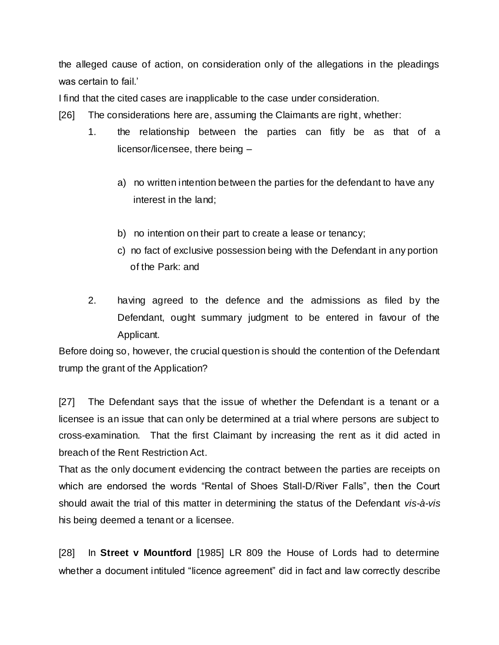the alleged cause of action, on consideration only of the allegations in the pleadings was certain to fail.'

I find that the cited cases are inapplicable to the case under consideration.

- [26] The considerations here are, assuming the Claimants are right, whether:
	- 1. the relationship between the parties can fitly be as that of a licensor/licensee, there being –
		- a) no written intention between the parties for the defendant to have any interest in the land;
		- b) no intention on their part to create a lease or tenancy;
		- c) no fact of exclusive possession being with the Defendant in any portion of the Park: and
	- 2. having agreed to the defence and the admissions as filed by the Defendant, ought summary judgment to be entered in favour of the Applicant.

Before doing so, however, the crucial question is should the contention of the Defendant trump the grant of the Application?

[27] The Defendant says that the issue of whether the Defendant is a tenant or a licensee is an issue that can only be determined at a trial where persons are subject to cross-examination. That the first Claimant by increasing the rent as it did acted in breach of the Rent Restriction Act.

That as the only document evidencing the contract between the parties are receipts on which are endorsed the words "Rental of Shoes Stall-D/River Falls", then the Court should await the trial of this matter in determining the status of the Defendant *vis-à-vis* his being deemed a tenant or a licensee.

[28] In **Street v Mountford** [1985] LR 809 the House of Lords had to determine whether a document intituled "licence agreement" did in fact and law correctly describe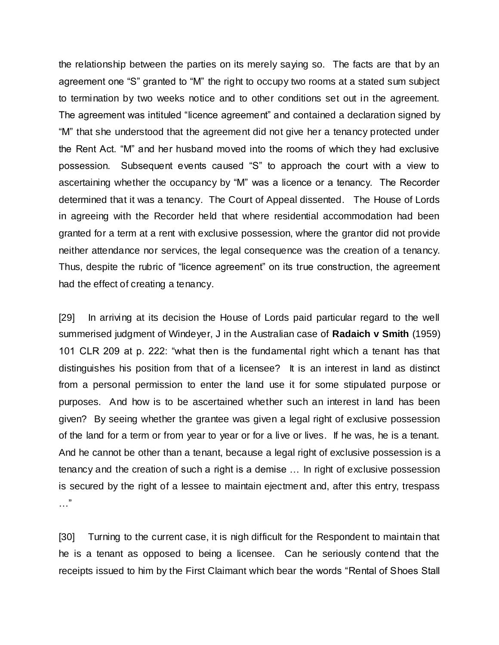the relationship between the parties on its merely saying so. The facts are that by an agreement one "S" granted to "M" the right to occupy two rooms at a stated sum subject to termination by two weeks notice and to other conditions set out in the agreement. The agreement was intituled "licence agreement" and contained a declaration signed by "M" that she understood that the agreement did not give her a tenancy protected under the Rent Act. "M" and her husband moved into the rooms of which they had exclusive possession. Subsequent events caused "S" to approach the court with a view to ascertaining whether the occupancy by "M" was a licence or a tenancy. The Recorder determined that it was a tenancy. The Court of Appeal dissented. The House of Lords in agreeing with the Recorder held that where residential accommodation had been granted for a term at a rent with exclusive possession, where the grantor did not provide neither attendance nor services, the legal consequence was the creation of a tenancy. Thus, despite the rubric of "licence agreement" on its true construction, the agreement had the effect of creating a tenancy.

[29] In arriving at its decision the House of Lords paid particular regard to the well summerised judgment of Windeyer, J in the Australian case of **Radaich v Smith** (1959) 101 CLR 209 at p. 222: "what then is the fundamental right which a tenant has that distinguishes his position from that of a licensee? It is an interest in land as distinct from a personal permission to enter the land use it for some stipulated purpose or purposes. And how is to be ascertained whether such an interest in land has been given? By seeing whether the grantee was given a legal right of exclusive possession of the land for a term or from year to year or for a live or lives. If he was, he is a tenant. And he cannot be other than a tenant, because a legal right of exclusive possession is a tenancy and the creation of such a right is a demise … In right of exclusive possession is secured by the right of a lessee to maintain ejectment and, after this entry, trespass …"

[30] Turning to the current case, it is nigh difficult for the Respondent to maintain that he is a tenant as opposed to being a licensee. Can he seriously contend that the receipts issued to him by the First Claimant which bear the words "Rental of Shoes Stall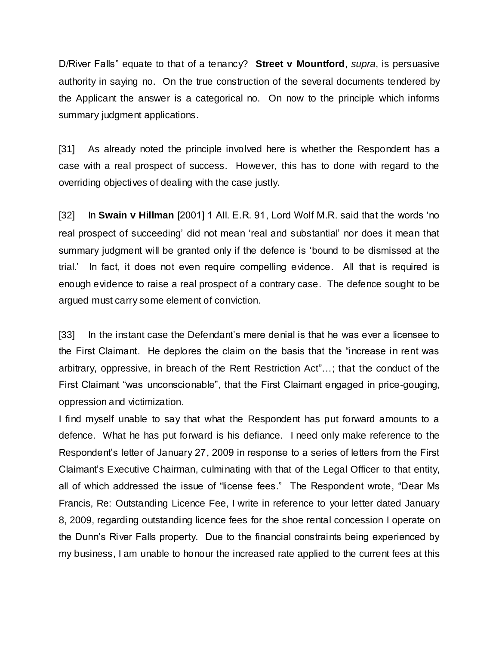D/River Falls" equate to that of a tenancy? **Street v Mountford**, *supra*, is persuasive authority in saying no. On the true construction of the several documents tendered by the Applicant the answer is a categorical no. On now to the principle which informs summary judgment applications.

[31] As already noted the principle involved here is whether the Respondent has a case with a real prospect of success. However, this has to done with regard to the overriding objectives of dealing with the case justly.

[32] In **Swain v Hillman** [2001] 1 All. E.R. 91, Lord Wolf M.R. said that the words 'no real prospect of succeeding' did not mean 'real and substantial' nor does it mean that summary judgment will be granted only if the defence is 'bound to be dismissed at the trial.' In fact, it does not even require compelling evidence. All that is required is enough evidence to raise a real prospect of a contrary case. The defence sought to be argued must carry some element of conviction.

[33] In the instant case the Defendant's mere denial is that he was ever a licensee to the First Claimant. He deplores the claim on the basis that the "increase in rent was arbitrary, oppressive, in breach of the Rent Restriction Act"…; that the conduct of the First Claimant "was unconscionable", that the First Claimant engaged in price-gouging, oppression and victimization.

I find myself unable to say that what the Respondent has put forward amounts to a defence. What he has put forward is his defiance. I need only make reference to the Respondent's letter of January 27, 2009 in response to a series of letters from the First Claimant's Executive Chairman, culminating with that of the Legal Officer to that entity, all of which addressed the issue of "license fees." The Respondent wrote, "Dear Ms Francis, Re: Outstanding Licence Fee, I write in reference to your letter dated January 8, 2009, regarding outstanding licence fees for the shoe rental concession I operate on the Dunn's River Falls property. Due to the financial constraints being experienced by my business, I am unable to honour the increased rate applied to the current fees at this